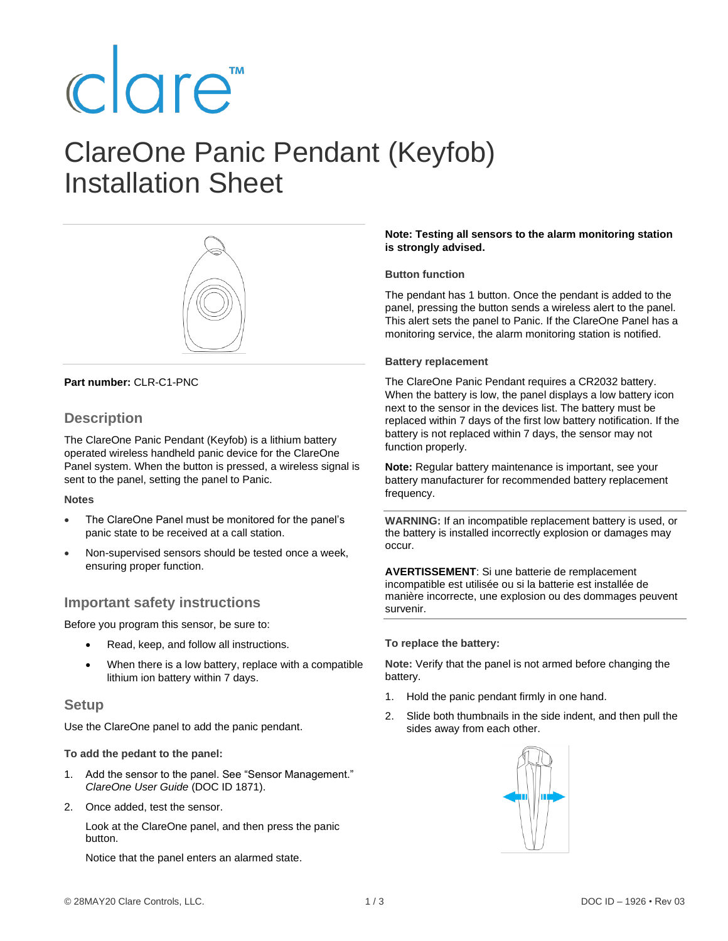# clare<sup>"</sup>

## ClareOne Panic Pendant (Keyfob) Installation Sheet



#### **Part number:** CLR-C1-PNC

### **Description**

The ClareOne Panic Pendant (Keyfob) is a lithium battery operated wireless handheld panic device for the ClareOne Panel system. When the button is pressed, a wireless signal is sent to the panel, setting the panel to Panic.

#### **Notes**

- The ClareOne Panel must be monitored for the panel's panic state to be received at a call station.
- Non-supervised sensors should be tested once a week, ensuring proper function.

### **Important safety instructions**

Before you program this sensor, be sure to:

- Read, keep, and follow all instructions.
- When there is a low battery, replace with a compatible lithium ion battery within 7 days.

#### **Setup**

Use the ClareOne panel to add the panic pendant.

#### **To add the pedant to the panel:**

- 1. Add the sensor to the panel. See "Sensor Management." *ClareOne User Guide* (DOC ID 1871).
- 2. Once added, test the sensor.

Look at the ClareOne panel, and then press the panic button.

Notice that the panel enters an alarmed state.

#### **Note: Testing all sensors to the alarm monitoring station is strongly advised.**

#### **Button function**

The pendant has 1 button. Once the pendant is added to the panel, pressing the button sends a wireless alert to the panel. This alert sets the panel to Panic. If the ClareOne Panel has a monitoring service, the alarm monitoring station is notified.

#### **Battery replacement**

The ClareOne Panic Pendant requires a CR2032 battery. When the battery is low, the panel displays a low battery icon next to the sensor in the devices list. The battery must be replaced within 7 days of the first low battery notification. If the battery is not replaced within 7 days, the sensor may not function properly.

**Note:** Regular battery maintenance is important, see your battery manufacturer for recommended battery replacement frequency.

**WARNING:** If an incompatible replacement battery is used, or the battery is installed incorrectly explosion or damages may occur.

**AVERTISSEMENT**: Si une batterie de remplacement incompatible est utilisée ou si la batterie est installée de manière incorrecte, une explosion ou des dommages peuvent survenir.

#### **To replace the battery:**

**Note:** Verify that the panel is not armed before changing the battery.

- 1. Hold the panic pendant firmly in one hand.
- 2. Slide both thumbnails in the side indent, and then pull the sides away from each other.

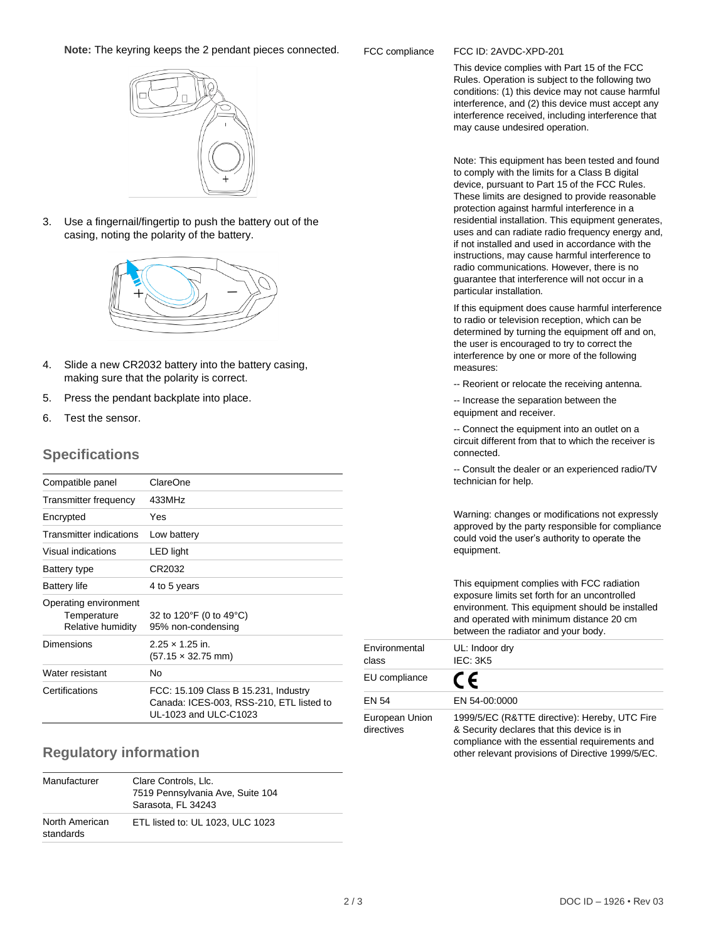#### **Note:** The keyring keeps the 2 pendant pieces connected.

#### 3. Use a fingernail/fingertip to push the battery out of the casing, noting the polarity of the battery.

- 4. Slide a new CR2032 battery into the battery casing, making sure that the polarity is correct.
- 5. Press the pendant backplate into place.
- 6. Test the sensor.

### **Specifications**

| Compatible panel                                          | ClareOne                                                                                                  |
|-----------------------------------------------------------|-----------------------------------------------------------------------------------------------------------|
| Transmitter frequency                                     | 433MHz                                                                                                    |
| Encrypted                                                 | Yes                                                                                                       |
| <b>Transmitter indications</b>                            | Low battery                                                                                               |
| Visual indications                                        | LED light                                                                                                 |
| Battery type                                              | CR2032                                                                                                    |
| Battery life                                              | 4 to 5 years                                                                                              |
| Operating environment<br>Temperature<br>Relative humidity | 32 to 120°F (0 to 49°C)<br>95% non-condensing                                                             |
| Dimensions                                                | $2.25 \times 1.25$ in.<br>$(57.15 \times 32.75 \text{ mm})$                                               |
| Water resistant                                           | No                                                                                                        |
| Certifications                                            | FCC: 15.109 Class B 15.231, Industry<br>Canada: ICES-003, RSS-210, ETL listed to<br>UL-1023 and ULC-C1023 |

### **Regulatory information**

| Manufacturer                | Clare Controls, Llc.<br>7519 Pennsylvania Ave, Suite 104<br>Sarasota, FL 34243 |
|-----------------------------|--------------------------------------------------------------------------------|
| North American<br>standards | ETL listed to: UL 1023, ULC 1023                                               |

#### FCC compliance FCC ID: 2AVDC-XPD-201

This device complies with Part 15 of the FCC Rules. Operation is subject to the following two conditions: (1) this device may not cause harmful interference, and (2) this device must accept any interference received, including interference that may cause undesired operation.

Note: This equipment has been tested and found to comply with the limits for a Class B digital device, pursuant to Part 15 of the FCC Rules. These limits are designed to provide reasonable protection against harmful interference in a residential installation. This equipment generates, uses and can radiate radio frequency energy and, if not installed and used in accordance with the instructions, may cause harmful interference to radio communications. However, there is no guarantee that interference will not occur in a particular installation.

If this equipment does cause harmful interference to radio or television reception, which can be determined by turning the equipment off and on, the user is encouraged to try to correct the interference by one or more of the following measures:

-- Reorient or relocate the receiving antenna.

-- Increase the separation between the equipment and receiver.

-- Connect the equipment into an outlet on a circuit different from that to which the receiver is connected.

-- Consult the dealer or an experienced radio/TV technician for help.

Warning: changes or modifications not expressly approved by the party responsible for compliance could void the user's authority to operate the equipment.

This equipment complies with FCC radiation exposure limits set forth for an uncontrolled environment. This equipment should be installed and operated with minimum distance 20 cm between the radiator and your body.

| Environmental<br>class       | UL: Indoor dry<br><b>IEC: 3K5</b>                                                                                                                                                                  |
|------------------------------|----------------------------------------------------------------------------------------------------------------------------------------------------------------------------------------------------|
| EU compliance                | (C                                                                                                                                                                                                 |
| <b>EN 54</b>                 | EN 54-00:0000                                                                                                                                                                                      |
| European Union<br>directives | 1999/5/EC (R&TTE directive): Hereby, UTC Fire<br>& Security declares that this device is in<br>compliance with the essential requirements and<br>other relevant provisions of Directive 1999/5/EC. |